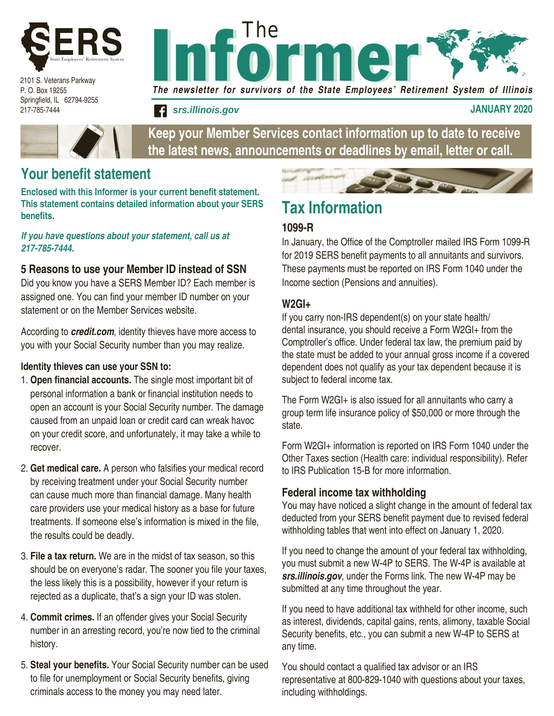

2101 S. Veterans Parkway P. O. Box 19255 Springfield, IL 62794-9255 217-785-7444



The newsletter for survivors of the State Employees' Retirement System of Illinois

**f srs.illinois.gov january 2020** 

**Keep your Member Services contact information up to date to receive the latest news, announcements or deadlines by email, letter or call.**

### **Your benefit statement**

**Enclosed with this Informer is your current benefit statement. This statement contains detailed information about your SERS benefits.** 

*If you have questions about your statement, call us at 217-785-7444.*

#### **5 Reasons to use your Member ID instead of SSN**

Did you know you have a SERS Member ID? Each member is assigned one. You can find your member ID number on your statement or on the Member Services website.

According to *credit.com*, identity thieves have more access to you with your Social Security number than you may realize.

#### **Identity thieves can use your SSN to:**

- 1. **Open financial accounts.** The single most important bit of personal information a bank or financial institution needs to open an account is your Social Security number. The damage caused from an unpaid loan or credit card can wreak havoc on your credit score, and unfortunately, it may take a while to recover.
- 2. **Get medical care.** A person who falsifies your medical record by receiving treatment under your Social Security number can cause much more than financial damage. Many health care providers use your medical history as a base for future treatments. If someone else's information is mixed in the file, the results could be deadly.
- 3. **File a tax return.** We are in the midst of tax season, so this should be on everyone's radar. The sooner you file your taxes, the less likely this is a possibility, however if your return is rejected as a duplicate, that's a sign your ID was stolen.
- 4. **Commit crimes.** If an offender gives your Social Security number in an arresting record, you're now tied to the criminal history.
- 5. **Steal your benefits.** Your Social Security number can be used to file for unemployment or Social Security benefits, giving criminals access to the money you may need later.

# **Tax Information**

#### **1099-R**

In January, the Office of the Comptroller mailed IRS Form 1099-R for 2019 SERS benefit payments to all annuitants and survivors. These payments must be reported on IRS Form 1040 under the Income section (Pensions and annuities).

#### **W2GI+**

If you carry non-IRS dependent(s) on your state health/ dental insurance, you should receive a Form W2GI+ from the Comptroller's office. Under federal tax law, the premium paid by the state must be added to your annual gross income if a covered dependent does not qualify as your tax dependent because it is subject to federal income tax.

The Form W2GI+ is also issued for all annuitants who carry a group term life insurance policy of \$50,000 or more through the state.

Form W2GI+ information is reported on IRS Form 1040 under the Other Taxes section (Health care: individual responsibility). Refer to IRS Publication 15-B for more information.

#### **Federal income tax withholding**

You may have noticed a slight change in the amount of federal tax deducted from your SERS benefit payment due to revised federal withholding tables that went into effect on January 1, 2020.

If you need to change the amount of your federal tax withholding, you must submit a new W-4P to SERS. The W-4P is available at *srs.illinois.gov*, under the Forms link. The new W-4P may be submitted at any time throughout the year.

If you need to have additional tax withheld for other income, such as interest, dividends, capital gains, rents, alimony, taxable Social Security benefits, etc., you can submit a new W-4P to SERS at any time.

You should contact a qualified tax advisor or an IRS representative at 800-829-1040 with questions about your taxes, including withholdings.